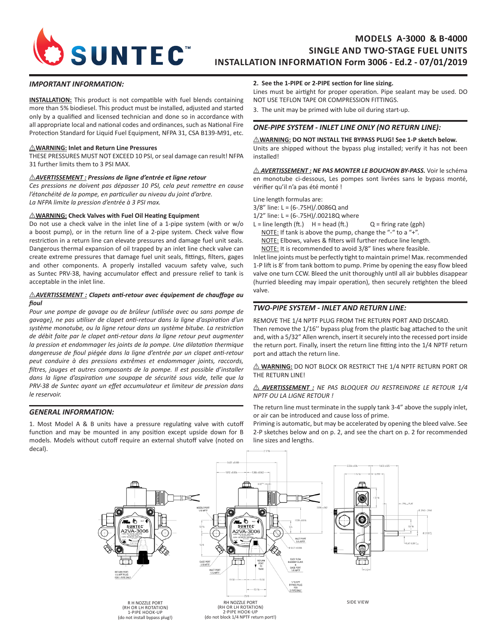

# **MODELS A-3000 & B-4000 SINGLE AND TWO-STAGE FUEL UNITS INSTALLATION INFORMATION Form 3006 - Ed.2 - 07/01/2019**

### *IMPORTANT INFORMATION:*

**INSTALLATION:** This product is not compatible with fuel blends containing more than 5% biodiesel. This product must be installed, adjusted and started only by a qualified and licensed technician and done so in accordance with all appropriate local and national codes and ordinances, such as National Fire Protection Standard for Liquid Fuel Equipment, NFPA 31, CSA B139-M91, etc.

#### I **WARNING: Inlet and Return Line Pressures**

THESE PRESSURES MUST NOT EXCEED 10 PSI, or seal damage can result! NFPA 31 further limits them to 3 PSI MAX.

#### I *AVERTISSEMENT : Pressions de ligne d'entrée et ligne retour*

*Ces pressions ne doivent pas dépasser 10 PSI, cela peut remettre en cause l'étanchéité de la pompe, en particulier au niveau du joint d'arbre. La NFPA limite la pression d'entrée à 3 PSI max.* 

#### $\triangle$ WARNING: Check Valves with Fuel Oil Heating Equipment

Do not use a check valve in the inlet line of a 1-pipe system (with or w/o a boost pump), or in the return line of a 2-pipe system. Check valve flow restriction in a return line can elevate pressures and damage fuel unit seals. Dangerous thermal expansion of oil trapped by an inlet line check valve can create extreme pressures that damage fuel unit seals, fittings, filters, gages and other components. A properly installed vacuum safety valve, such as Suntec PRV-38, having accumulator effect and pressure relief to tank is acceptable in the inlet line.

#### **AVERTISSEMENT** : Clapets anti-retour avec équipement de chauffage au *fioul*

*Pour une pompe de gavage ou de brûleur (utilisée avec ou sans pompe de gavage), ne pas utiliser de clapet anti-retour dans la ligne d'aspiration d'un système monotube, ou la ligne retour dans un système bitube. La restriction de débit faite par le clapet anti-retour dans la ligne retour peut augmenter la pression et endommager les joints de la pompe. Une dilatation thermique dangereuse de fioul piégée dans la ligne d'entrée par un clapet anti-retour peut conduire à des pressions extrêmes et endommager joints, raccords, filtres, jauges et autres composants de la pompe. Il est possible d'installer dans la ligne d'aspiration une soupape de sécurité sous vide, telle que la PRV-38 de Suntec ayant un effet accumulateur et limiteur de pression dans le reservoir.*

### *GENERAL INFORMATION:*

1. Most Model A & B units have a pressure regulating valve with cutoff function and may be mounted in any position except upside down for B models. Models without cutoff require an external shutoff valve (noted on decal).

#### **2. See the 1-PIPE or 2-PIPE section for line sizing.**

Lines must be airtight for proper operation. Pipe sealant may be used. DO NOT USE TEFLON TAPE OR COMPRESSION FITTINGS.

3. The unit may be primed with lube oil during start-up.

### *ONE-PIPE SYSTEM - INLET LINE ONLY (NO RETURN LINE):*

 $\triangle$ WARNING: DO NOT INSTALL THE BYPASS PLUG! See 1-P sketch below. Units are shipped without the bypass plug installed; verify it has not been installed!

I *AVERTISSEMENT : NE PAS MONTER LE BOUCHON BY-PASS.* Voir le schéma en monotube ci-dessous, Les pompes sont livrées sans le bypass monté, vérifier qu'il n'a pas été monté !

Line length formulas are:

3/8" line: L = (6-.75H)/.0086Q and

1/2" line: L = (6-.75H)/.00218Q where

- $L =$  line length (ft.)  $H =$  head (ft.)  $Q =$  firing rate (gph)
	- NOTE: If tank is above the pump, change the "-" to a "+".

NOTE: Elbows, valves & filters will further reduce line length.

NOTE: It is recommended to avoid 3/8" lines where feasible.

Inlet line joints must be perfectly tight to maintain prime! Max. recommended 1-P lift is 8' from tank bottom to pump. Prime by opening the easy flow bleed valve one turn CCW. Bleed the unit thoroughly until all air bubbles disappear (hurried bleeding may impair operation), then securely retighten the bleed valve.

## *TWO-PIPE SYSTEM - INLET AND RETURN LINE:*

REMOVE THE 1/4 NPTF PLUG FROM THE RETURN PORT AND DISCARD. Then remove the 1/16'' bypass plug from the plastic bag attached to the unit and, with a 5/32" Allen wrench, insert it securely into the recessed port inside the return port. Finally, insert the return line fitting into the 1/4 NPTF return port and attach the return line.

 $\triangle$  **WARNING:** DO NOT BLOCK OR RESTRICT THE 1/4 NPTF RETURN PORT OR THE RETURN LINE!

#### $\triangle$  **AVERTISSEMENT** : NE PAS BLOQUER OU RESTREINDRE LE RETOUR 1/4 *NPTF OU LA LIGNE RETOUR !*

The return line must terminate in the supply tank 3-4" above the supply inlet, or air can be introduced and cause loss of prime.

Priming is automatic, but may be accelerated by opening the bleed valve. See 2-P sketches below and on p. 2, and see the chart on p. 2 for recommended line sizes and lengths.